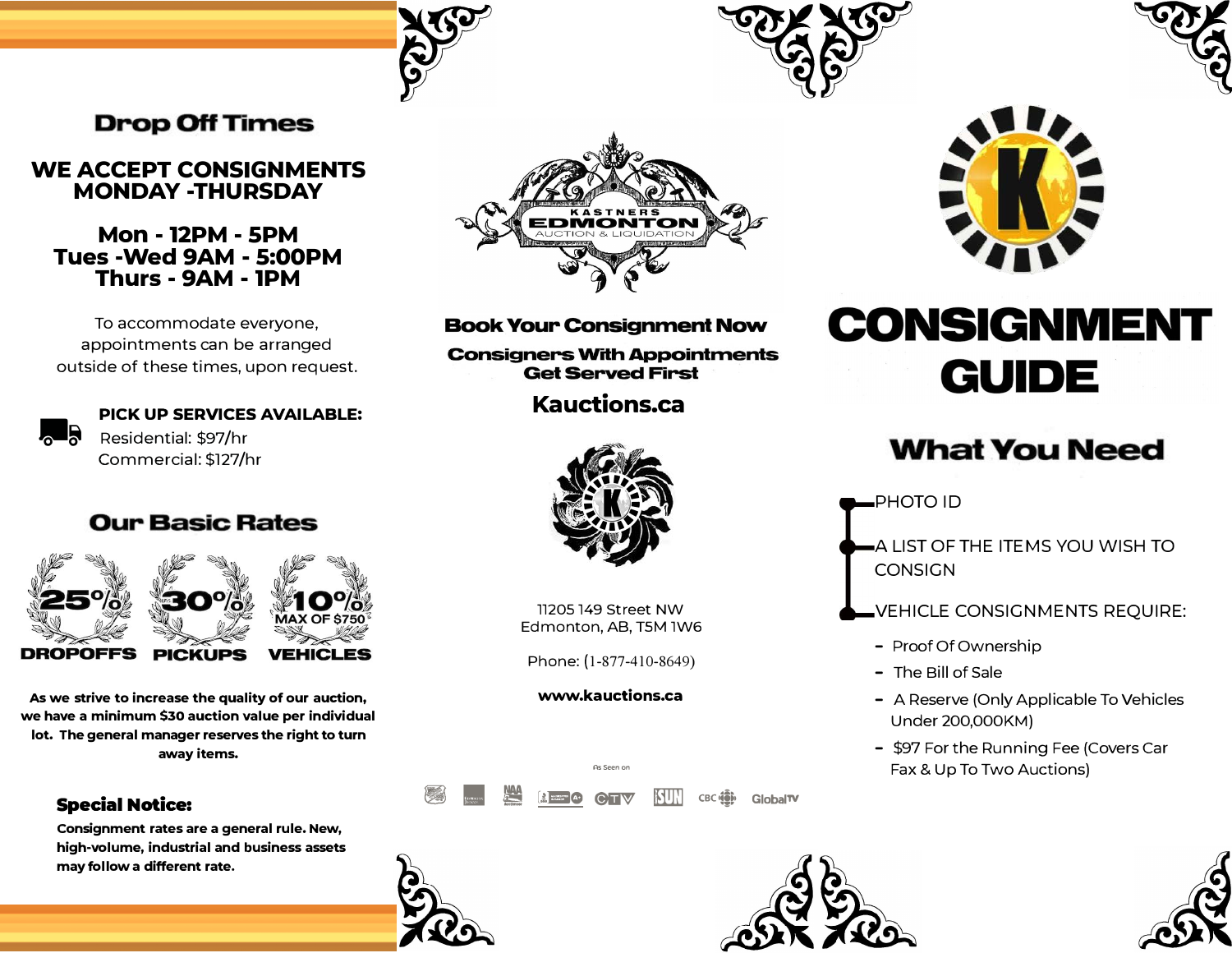## **Drop Off Times**

#### **WE ACCEPT CONSIGNMENTS MONDAY -THURSDAY**

#### **Mon - 12PM - 5PM Tues -Wed 9AM - 5:00PM Thurs - 9AM - 1PM**

To accommodate everyone, appointments can be arranged outside of these times, upon request.



# **PICK UP SERVICES AVAILABLE:**<br>Residential: \$97/hr

Commercial: \$127/hr

## **Our Basic Rates**



**As we strive to increase the quality of our auction, we have a minimum \$30 auction value per individual lot. The general manager reserves the right to turn away items.**

#### **Special Notice:**

**Consignment rates are a general rule. New, high-volume, industrial and business assets may follow a different rate.** 



#### **Book Your Consignment Now**

**Consigners With Appointments Get Served First** 

### **Kauctions.ca**



77205 749 Street NW Edmonton, AB, T5M 1W6

Phone: (1-877-410-8649)

#### **www.kauctions.ca**

� ■ **l9 IS.SC (i)6W IIl!TI) cwiii• GlobalTV**

As Seen on







# **CONSIGNMENT GUIDE**

## **What You Need**

PHOTO ID

A LIST OF THE ITEMS YOU WISH TO **CONSIGN** 

- VEHICLE CONSIGNMENTS REQUIRE:
	- Proof Of Ownership
	- The Bill of Sale
	- A Reserve (Only Applicable To Vehicles Under 200,000KM)
	- \$97 For the Running Fee (Covers Car Fax & Up To Two Auctions)